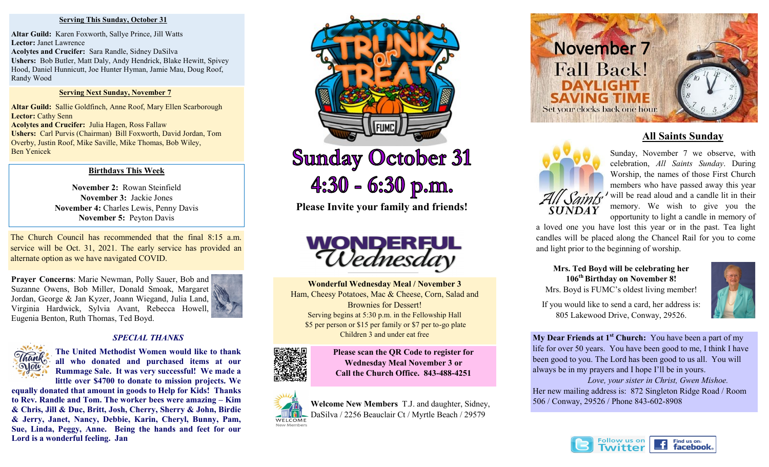### **Serving This Sunday, October 31**

**Altar Guild:** Karen Foxworth, Sallye Prince, Jill Watts **Lector:** Janet Lawrence **Acolytes and Crucifer:** Sara Randle, Sidney DaSilva **Ushers:** Bob Butler, Matt Daly, Andy Hendrick, Blake Hewitt, Spivey Hood, Daniel Hunnicutt, Joe Hunter Hyman, Jamie Mau, Doug Roof, Randy Wood

## **Serving Next Sunday, November 7**

**Altar Guild:** Sallie Goldfinch, Anne Roof, Mary Ellen Scarborough **Lector:** Cathy Senn

**Acolytes and Crucifer:** Julia Hagen, Ross Fallaw **Ushers:** Carl Purvis (Chairman) Bill Foxworth, David Jordan, Tom Overby, Justin Roof, Mike Saville, Mike Thomas, Bob Wiley, Ben Yenicek

# **Birthdays This Week**

**November 2:** Rowan Steinfield **November 3:** Jackie Jones **November 4:** Charles Lewis, Penny Davis **November 5:** Peyton Davis

The Church Council has recommended that the final 8:15 a.m. service will be Oct. 31, 2021. The early service has provided an alternate option as we have navigated COVID.

**Prayer Concerns**: Marie Newman, Polly Sauer, Bob and Suzanne Owens, Bob Miller, Donald Smoak, Margaret Jordan, George & Jan Kyzer, Joann Wiegand, Julia Land, Virginia Hardwick, Sylvia Avant, Rebecca Howell, Eugenia Benton, Ruth Thomas, Ted Boyd.



# *SPECIAL THANKS*



**The United Methodist Women would like to thank all who donated and purchased items at our Rummage Sale. It was very successful! We made a little over \$4700 to donate to mission projects. We** 

**equally donated that amount in goods to Help for Kids! Thanks to Rev. Randle and Tom. The worker bees were amazing – Kim & Chris, Jill & Duc, Britt, Josh, Cherry, Sherry & John, Birdie & Jerry, Janet, Nancy, Debbie, Karin, Cheryl, Bunny, Pam, Sue, Linda, Peggy, Anne. Being the hands and feet for our Lord is a wonderful feeling. Jan** 



**Sunday October 31**  $4:30 - 6:30$  p.m.

**Please Invite your family and friends!**



**Wonderful Wednesday Meal / November 3**  Ham, Cheesy Potatoes, Mac & Cheese, Corn, Salad and Brownies for Dessert! Serving begins at 5:30 p.m. in the Fellowship Hall \$5 per person or \$15 per family or \$7 per to-go plate Children 3 and under eat free



**Please scan the QR Code to register for Wednesday Meal November 3 or Call the Church Office. 843-488-4251**



**Welcome New Members** T.J. and daughter, Sidney, DaSilva / 2256 Beauclair Ct / Myrtle Beach / 29579



# **All Saints Sunday**



Sunday, November 7 we observe, with celebration, *All Saints Sunday*. During Worship, the names of those First Church members who have passed away this year  $\int$ *ainfe'* will be read aloud and a candle lit in their memory. We wish to give you the opportunity to light a candle in memory of

a loved one you have lost this year or in the past. Tea light candles will be placed along the Chancel Rail for you to come and light prior to the beginning of worship.

**Mrs. Ted Boyd will be celebrating her 106th Birthday on November 8!** Mrs. Boyd is FUMC's oldest living member!

If you would like to send a card, her address is: 805 Lakewood Drive, Conway, 29526.

**My Dear Friends at 1st Church:** You have been a part of my life for over 50 years. You have been good to me, I think I have been good to you. The Lord has been good to us all. You will always be in my prayers and I hope I'll be in yours.

*Love, your sister in Christ, Gwen Mishoe.* Her new mailing address is: 872 Singleton Ridge Road / Room 506 / Conway, 29526 / Phone 843-602-8908